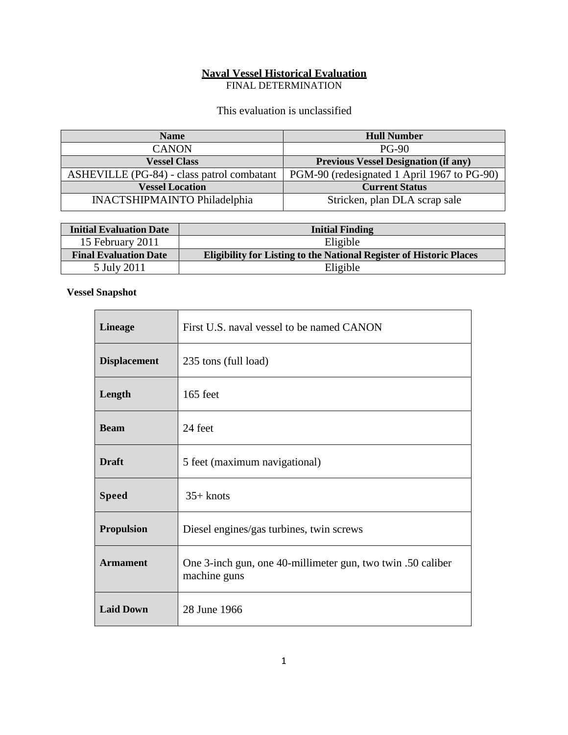# **Naval Vessel Historical Evaluation**

FINAL DETERMINATION

### This evaluation is unclassified

| <b>Name</b>                                | <b>Hull Number</b>                          |
|--------------------------------------------|---------------------------------------------|
| <b>CANON</b>                               | $PG-90$                                     |
| <b>Vessel Class</b>                        | <b>Previous Vessel Designation (if any)</b> |
| ASHEVILLE (PG-84) - class patrol combatant | PGM-90 (redesignated 1 April 1967 to PG-90) |
| <b>Vessel Location</b>                     | <b>Current Status</b>                       |
| <b>INACTSHIPMAINTO Philadelphia</b>        | Stricken, plan DLA scrap sale               |

| <b>Initial Evaluation Date</b> | <b>Initial Finding</b>                                                     |
|--------------------------------|----------------------------------------------------------------------------|
| 15 February 2011               | Eligible                                                                   |
| <b>Final Evaluation Date</b>   | <b>Eligibility for Listing to the National Register of Historic Places</b> |
| 5 July 2011                    | Eligible                                                                   |

### **Vessel Snapshot**

'n

| <b>Lineage</b>      | First U.S. naval vessel to be named CANON                                   |
|---------------------|-----------------------------------------------------------------------------|
| <b>Displacement</b> | 235 tons (full load)                                                        |
| Length              | 165 feet                                                                    |
| <b>Beam</b>         | 24 feet                                                                     |
| <b>Draft</b>        | 5 feet (maximum navigational)                                               |
| <b>Speed</b>        | $35+$ knots                                                                 |
| <b>Propulsion</b>   | Diesel engines/gas turbines, twin screws                                    |
| <b>Armament</b>     | One 3-inch gun, one 40-millimeter gun, two twin .50 caliber<br>machine guns |
| <b>Laid Down</b>    | 28 June 1966                                                                |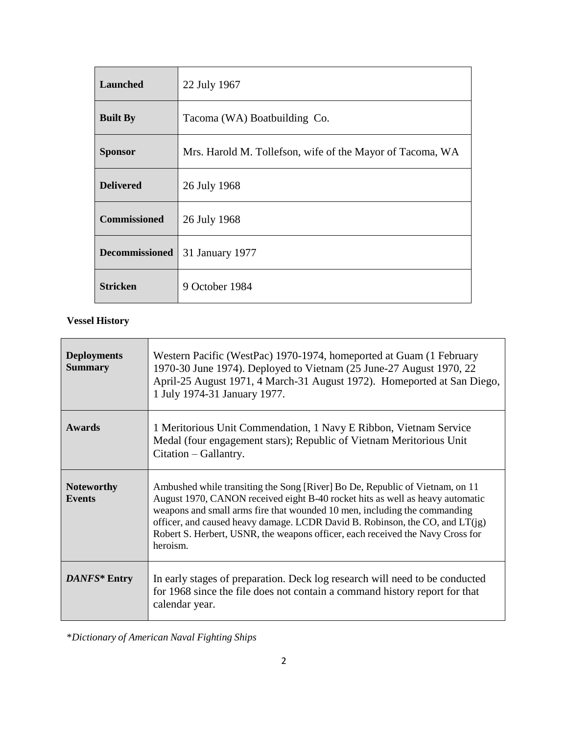| <b>Launched</b>     | 22 July 1967                                              |
|---------------------|-----------------------------------------------------------|
| <b>Built By</b>     | Tacoma (WA) Boatbuilding Co.                              |
| <b>Sponsor</b>      | Mrs. Harold M. Tollefson, wife of the Mayor of Tacoma, WA |
| <b>Delivered</b>    | 26 July 1968                                              |
| <b>Commissioned</b> | 26 July 1968                                              |
| Decommissioned      | 31 January 1977                                           |
| <b>Stricken</b>     | 9 October 1984                                            |

## **Vessel History**

| <b>Deployments</b><br><b>Summary</b> | Western Pacific (WestPac) 1970-1974, homeported at Guam (1 February<br>1970-30 June 1974). Deployed to Vietnam (25 June-27 August 1970, 22<br>April-25 August 1971, 4 March-31 August 1972). Homeported at San Diego,<br>1 July 1974-31 January 1977.                                                                                                                                                                      |
|--------------------------------------|----------------------------------------------------------------------------------------------------------------------------------------------------------------------------------------------------------------------------------------------------------------------------------------------------------------------------------------------------------------------------------------------------------------------------|
| <b>Awards</b>                        | 1 Meritorious Unit Commendation, 1 Navy E Ribbon, Vietnam Service<br>Medal (four engagement stars); Republic of Vietnam Meritorious Unit<br>Citation – Gallantry.                                                                                                                                                                                                                                                          |
| <b>Noteworthy</b><br><b>Events</b>   | Ambushed while transiting the Song [River] Bo De, Republic of Vietnam, on 11<br>August 1970, CANON received eight B-40 rocket hits as well as heavy automatic<br>weapons and small arms fire that wounded 10 men, including the commanding<br>officer, and caused heavy damage. LCDR David B. Robinson, the CO, and $LT(ig)$<br>Robert S. Herbert, USNR, the weapons officer, each received the Navy Cross for<br>heroism. |
| DANFS* Entry                         | In early stages of preparation. Deck log research will need to be conducted<br>for 1968 since the file does not contain a command history report for that<br>calendar year.                                                                                                                                                                                                                                                |

\**Dictionary of American Naval Fighting Ships*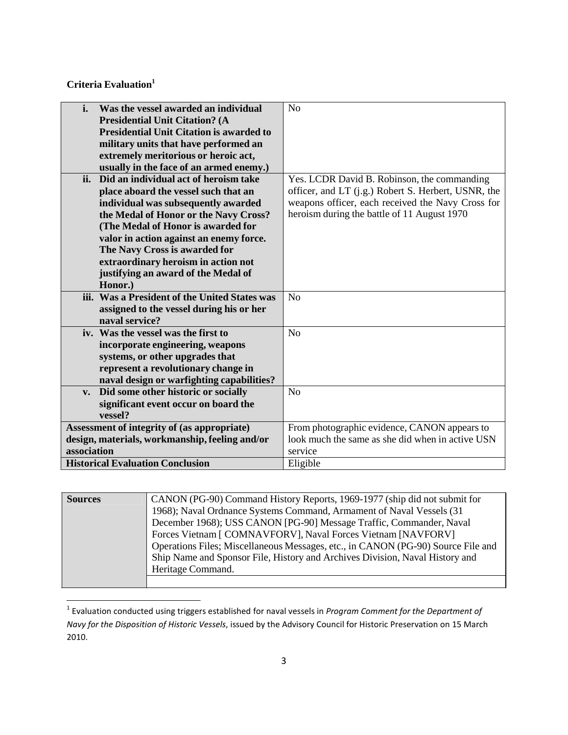**Criteria Evaluation 1**

| i.<br>Was the vessel awarded an individual           | N <sub>o</sub>                                      |
|------------------------------------------------------|-----------------------------------------------------|
| <b>Presidential Unit Citation? (A</b>                |                                                     |
| <b>Presidential Unit Citation is awarded to</b>      |                                                     |
| military units that have performed an                |                                                     |
| extremely meritorious or heroic act,                 |                                                     |
| usually in the face of an armed enemy.)              |                                                     |
| ii.<br>Did an individual act of heroism take         | Yes. LCDR David B. Robinson, the commanding         |
| place aboard the vessel such that an                 | officer, and LT (j.g.) Robert S. Herbert, USNR, the |
| individual was subsequently awarded                  | weapons officer, each received the Navy Cross for   |
| the Medal of Honor or the Navy Cross?                | heroism during the battle of 11 August 1970         |
| (The Medal of Honor is awarded for                   |                                                     |
| valor in action against an enemy force.              |                                                     |
| The Navy Cross is awarded for                        |                                                     |
| extraordinary heroism in action not                  |                                                     |
| justifying an award of the Medal of                  |                                                     |
| Honor.)                                              |                                                     |
| iii. Was a President of the United States was        | N <sub>o</sub>                                      |
| assigned to the vessel during his or her             |                                                     |
| naval service?                                       |                                                     |
| iv. Was the vessel was the first to                  | N <sub>o</sub>                                      |
| incorporate engineering, weapons                     |                                                     |
| systems, or other upgrades that                      |                                                     |
| represent a revolutionary change in                  |                                                     |
| naval design or warfighting capabilities?            |                                                     |
| Did some other historic or socially<br>$V_{\bullet}$ | N <sub>o</sub>                                      |
| significant event occur on board the                 |                                                     |
| vessel?                                              |                                                     |
| Assessment of integrity of (as appropriate)          | From photographic evidence, CANON appears to        |
| design, materials, workmanship, feeling and/or       | look much the same as she did when in active USN    |
| association                                          | service                                             |
| <b>Historical Evaluation Conclusion</b>              | Eligible                                            |

| <b>Sources</b> | CANON (PG-90) Command History Reports, 1969-1977 (ship did not submit for        |
|----------------|----------------------------------------------------------------------------------|
|                | 1968); Naval Ordnance Systems Command, Armament of Naval Vessels (31)            |
|                | December 1968); USS CANON [PG-90] Message Traffic, Commander, Naval              |
|                | Forces Vietnam [ COMNAVFORV], Naval Forces Vietnam [NAVFORV]                     |
|                | Operations Files; Miscellaneous Messages, etc., in CANON (PG-90) Source File and |
|                | Ship Name and Sponsor File, History and Archives Division, Naval History and     |
|                | Heritage Command.                                                                |
|                |                                                                                  |

<sup>1</sup> Evaluation conducted using triggers established for naval vessels in *Program Comment for the Department of Navy for the Disposition of Historic Vessels*, issued by the Advisory Council for Historic Preservation on 15 March 2010.